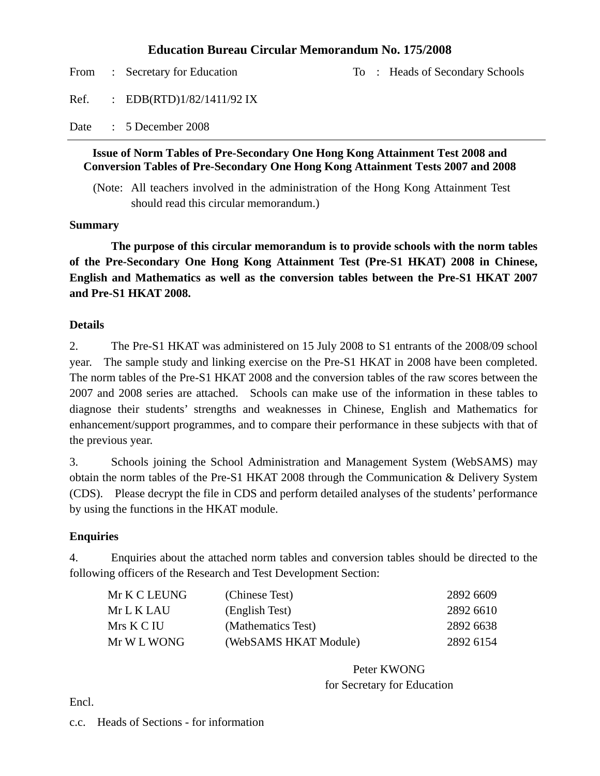#### **Education Bureau Circular Memorandum No. 175/2008**

From : Secretary for Education To : Heads of Secondary Schools Ref. : EDB(RTD)1/82/1411/92 IX Date : 5 December 2008

#### **Issue of Norm Tables of Pre-Secondary One Hong Kong Attainment Test 2008 and Conversion Tables of Pre-Secondary One Hong Kong Attainment Tests 2007 and 2008**

(Note: All teachers involved in the administration of the Hong Kong Attainment Test should read this circular memorandum.)

#### **Summary**

 **The purpose of this circular memorandum is to provide schools with the norm tables of the Pre-Secondary One Hong Kong Attainment Test (Pre-S1 HKAT) 2008 in Chinese, English and Mathematics as well as the conversion tables between the Pre-S1 HKAT 2007 and Pre-S1 HKAT 2008.** 

#### **Details**

2. The Pre-S1 HKAT was administered on 15 July 2008 to S1 entrants of the 2008/09 school year. The sample study and linking exercise on the Pre-S1 HKAT in 2008 have been completed. The norm tables of the Pre-S1 HKAT 2008 and the conversion tables of the raw scores between the 2007 and 2008 series are attached. Schools can make use of the information in these tables to diagnose their students' strengths and weaknesses in Chinese, English and Mathematics for enhancement/support programmes, and to compare their performance in these subjects with that of the previous year.

3. Schools joining the School Administration and Management System (WebSAMS) may obtain the norm tables of the Pre-S1 HKAT 2008 through the Communication & Delivery System (CDS). Please decrypt the file in CDS and perform detailed analyses of the students' performance by using the functions in the HKAT module.

#### **Enquiries**

4. Enquiries about the attached norm tables and conversion tables should be directed to the following officers of the Research and Test Development Section:

| Mr K C LEUNG | (Chinese Test)        | 2892 6609 |
|--------------|-----------------------|-----------|
| Mr L K LAU-  | (English Test)        | 2892 6610 |
| Mrs K C IU   | (Mathematics Test)    | 2892 6638 |
| Mr W L WONG  | (WebSAMS HKAT Module) | 2892 6154 |

Peter KWONG for Secretary for Education

Encl.

c.c. Heads of Sections - for information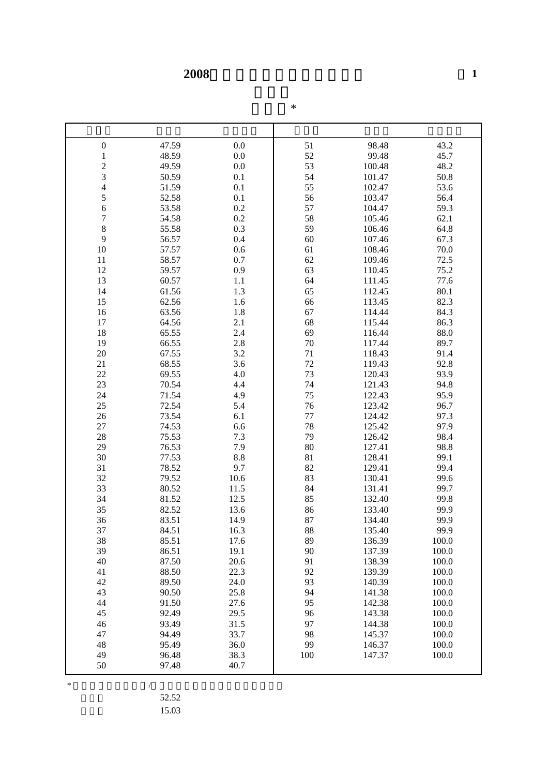**2008** 

| $\boldsymbol{0}$ | 47.59          | 0.0          | 51       | 98.48            | 43.2           |
|------------------|----------------|--------------|----------|------------------|----------------|
| $\mathbf{1}$     | 48.59          | 0.0          | 52       | 99.48            | 45.7           |
|                  | 49.59          | 0.0          | 53       | 100.48           | 48.2           |
| $\frac{2}{3}$    | 50.59          | 0.1          | 54       | 101.47           | 50.8           |
| $\overline{4}$   | 51.59          | 0.1          | 55       | 102.47           | 53.6           |
| 5                | 52.58          | 0.1          | 56       | 103.47           | 56.4           |
| 6                | 53.58          | 0.2          | 57       | 104.47           | 59.3           |
| $\boldsymbol{7}$ | 54.58          | 0.2          | 58       | 105.46           | 62.1           |
| 8                | 55.58          | 0.3          | 59       | 106.46           | 64.8           |
| 9                | 56.57          | 0.4          | 60       | 107.46           | 67.3           |
| 10               | 57.57          | 0.6          | 61       | 108.46           | 70.0           |
| 11               | 58.57          | 0.7          | 62       | 109.46           | 72.5           |
| 12               | 59.57          | 0.9          | 63       | 110.45           | 75.2           |
| 13               | 60.57          | 1.1          | 64       | 111.45           | 77.6           |
| 14               | 61.56          | 1.3          | 65       | 112.45           | 80.1           |
| 15               | 62.56          | 1.6          | 66       | 113.45           | 82.3           |
| 16               | 63.56          | 1.8          | 67       | 114.44           | 84.3           |
| 17               | 64.56          | 2.1          | 68       | 115.44           | 86.3           |
| 18               | 65.55          | 2.4          | 69       | 116.44           | 88.0           |
| 19               | 66.55          | 2.8          | 70       | 117.44           | 89.7           |
| 20               | 67.55          | 3.2          | 71       | 118.43           | 91.4           |
| 21               | 68.55          | 3.6          | $72\,$   | 119.43           | 92.8           |
| 22               | 69.55          | 4.0          | 73       | 120.43           | 93.9           |
| 23               | 70.54          | 4.4          | 74       | 121.43           | 94.8           |
| 24               | 71.54          | 4.9          | 75       | 122.43           | 95.9           |
| 25               | 72.54          | 5.4          | 76       | 123.42           | 96.7           |
| 26               | 73.54          | 6.1          | $77 \,$  | 124.42           | 97.3           |
| 27               | 74.53          | 6.6          | 78       | 125.42           | 97.9           |
| 28               | 75.53          | 7.3          | 79       | 126.42           | 98.4           |
| 29               | 76.53          | 7.9          | 80       | 127.41           | 98.8           |
| 30               | 77.53          | 8.8          | 81       | 128.41           | 99.1           |
| 31               | 78.52          | 9.7          | 82       | 129.41           | 99.4           |
| 32               | 79.52          | 10.6         | 83       | 130.41           | 99.6           |
| 33               | 80.52          | 11.5         | 84       | 131.41           | 99.7           |
| 34               | 81.52          | 12.5         | 85       | 132.40           | 99.8           |
| 35               | 82.52          | 13.6         | 86       | 133.40           | 99.9           |
| 36               | 83.51          | 14.9         | 87       | 134.40           | 99.9           |
| 37               | 84.51          | 16.3         | 88       | 135.40           | 99.9           |
| 38               | 85.51          | 17.6         | 89       | 136.39           | 100.0          |
| 39<br>40         | 86.51<br>87.50 | 19.1<br>20.6 | 90<br>91 | 137.39<br>138.39 | 100.0<br>100.0 |
| 41               | 88.50          | 22.3         | 92       | 139.39           | 100.0          |
|                  |                |              |          |                  |                |
| 42<br>43         | 89.50<br>90.50 | 24.0<br>25.8 | 93<br>94 | 140.39           | 100.0<br>100.0 |
| 44               | 91.50          | 27.6         | 95       | 141.38<br>142.38 | 100.0          |
| 45               | 92.49          | 29.5         | 96       |                  | 100.0          |
| 46               | 93.49          | 31.5         | 97       | 143.38<br>144.38 | 100.0          |
| 47               | 94.49          | 33.7         | 98       | 145.37           | 100.0          |
| 48               | 95.49          | 36.0         | 99       | 146.37           | 100.0          |
| 49               | 96.48          | 38.3         | 100      | 147.37           | 100.0          |
| 50               | 97.48          | 40.7         |          |                  |                |
|                  |                |              |          |                  |                |

 $*$ 52.52

標準差 15.03

常模表\*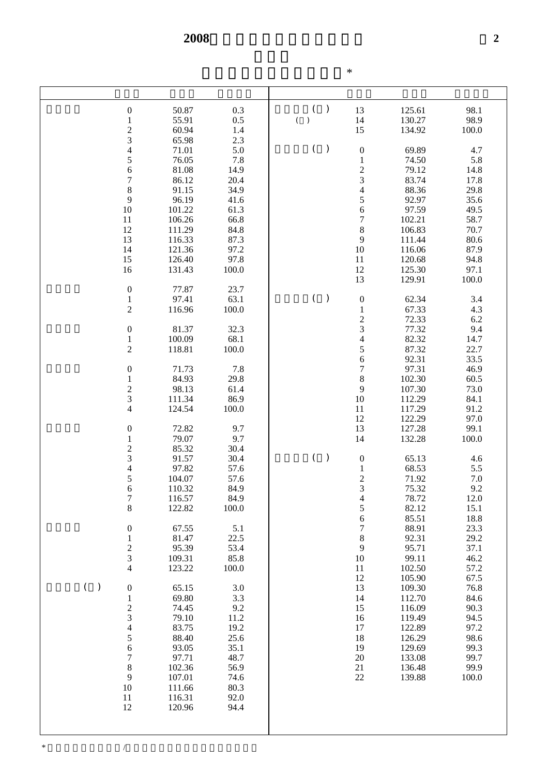|                                            |                  |               |                         |               | $\ast$                           |                  |               |
|--------------------------------------------|------------------|---------------|-------------------------|---------------|----------------------------------|------------------|---------------|
|                                            |                  |               |                         |               |                                  |                  |               |
| $\boldsymbol{0}$<br>$\,1\,$                | 50.87<br>55.91   | 0.3<br>0.5    | (<br>$\,$ )<br>$\left($ | $\mathcal{E}$ | 13<br>14                         | 125.61<br>130.27 | 98.1<br>98.9  |
| 23456                                      | 60.94<br>65.98   | 1.4<br>2.3    |                         |               | 15                               | 134.92           | 100.0         |
|                                            | 71.01<br>76.05   | 5.0<br>7.8    | (                       | $\mathcal{E}$ | $\boldsymbol{0}$<br>$\,1$        | 69.89<br>74.50   | 4.7<br>5.8    |
|                                            | 81.08            | 14.9          |                         |               | $\frac{2}{3}$                    | 79.12            | 14.8          |
| $\overline{7}$<br>8                        | 86.12<br>91.15   | 20.4<br>34.9  |                         |               | $\overline{4}$                   | 83.74<br>88.36   | 17.8<br>29.8  |
| 9                                          | 96.19            | 41.6          |                         |               | 5                                | 92.97            | 35.6          |
| 10<br>11                                   | 101.22<br>106.26 | 61.3<br>66.8  |                         |               | 6<br>$\overline{7}$              | 97.59<br>102.21  | 49.5<br>58.7  |
| 12                                         | 111.29           | 84.8          |                         |               | 8                                | 106.83           | 70.7          |
| 13<br>14                                   | 116.33<br>121.36 | 87.3<br>97.2  |                         |               | 9<br>10                          | 111.44<br>116.06 | 80.6<br>87.9  |
| 15<br>16                                   | 126.40<br>131.43 | 97.8<br>100.0 |                         |               | 11<br>12                         | 120.68<br>125.30 | 94.8<br>97.1  |
| $\boldsymbol{0}$                           | 77.87            | 23.7          |                         |               | 13                               | 129.91           | 100.0         |
| $\,1$                                      | 97.41            | 63.1          | $\left($                | $\mathcal{E}$ | $\boldsymbol{0}$                 | 62.34            | 3.4           |
| $\overline{c}$                             | 116.96           | 100.0         |                         |               | $\mathbf{1}$<br>$\frac{2}{3}$    | 67.33<br>72.33   | 4.3<br>6.2    |
| $\boldsymbol{0}$<br>$\,1$                  | 81.37<br>100.09  | 32.3<br>68.1  |                         |               | $\overline{4}$                   | 77.32<br>82.32   | 9.4<br>14.7   |
| $\overline{c}$                             | 118.81           | 100.0         |                         |               | 5                                | 87.32<br>92.31   | 22.7<br>33.5  |
| $\boldsymbol{0}$                           | 71.73            | 7.8           |                         |               | 6<br>$\overline{7}$              | 97.31            | 46.9          |
| $\,1$                                      | 84.93<br>98.13   | 29.8<br>61.4  |                         |               | 8<br>9                           | 102.30<br>107.30 | 60.5<br>73.0  |
| $\frac{2}{3}$                              | 111.34           | 86.9          |                         |               | 10                               | 112.29           | 84.1          |
| $\overline{4}$                             | 124.54           | 100.0         |                         |               | 11<br>12                         | 117.29<br>122.29 | 91.2<br>97.0  |
| $\boldsymbol{0}$<br>$\,1$                  | 72.82<br>79.07   | 9.7<br>9.7    |                         |               | 13<br>14                         | 127.28<br>132.28 | 99.1<br>100.0 |
|                                            | 85.32            | 30.4          |                         |               |                                  |                  |               |
| $\begin{array}{c} 2 \\ 3 \\ 4 \end{array}$ | 91.57<br>97.82   | 30.4<br>57.6  | $\left($                | $\mathcal{E}$ | $\boldsymbol{0}$<br>$\mathbf{1}$ | 65.13<br>68.53   | 4.6<br>5.5    |
| 5                                          | 104.07<br>110.32 | 57.6<br>84.9  |                         |               | $\overline{2}$<br>3              | 71.92<br>75.32   | 7.0<br>9.2    |
| 6<br>$\sqrt{ }$                            | 116.57           | 84.9          |                         |               | $\overline{4}$                   | 78.72            | 12.0          |
| $\,$ 8 $\,$                                | 122.82           | 100.0         |                         |               | 5<br>6                           | 82.12<br>85.51   | 15.1<br>18.8  |
| $\boldsymbol{0}$<br>$\,1\,$                | 67.55<br>81.47   | 5.1<br>22.5   |                         |               | $\boldsymbol{7}$<br>$\,$ 8 $\,$  | 88.91<br>92.31   | 23.3<br>29.2  |
| $\frac{2}{3}$                              | 95.39            | 53.4          |                         |               | 9                                | 95.71            | 37.1          |
| $\overline{4}$                             | 109.31<br>123.22 | 85.8<br>100.0 |                         |               | 10<br>11                         | 99.11<br>102.50  | 46.2<br>57.2  |
|                                            |                  |               |                         |               | 12                               | 105.90           | 67.5          |
| $($ )<br>$\boldsymbol{0}$<br>$\mathbf{1}$  | 65.15<br>69.80   | 3.0<br>3.3    |                         |               | 13<br>14                         | 109.30<br>112.70 | 76.8<br>84.6  |
| $\begin{array}{c} 2 \\ 3 \\ 4 \end{array}$ | 74.45            | 9.2           |                         |               | 15                               | 116.09           | 90.3<br>94.5  |
|                                            | 79.10<br>83.75   | 11.2<br>19.2  |                         |               | 16<br>17                         | 119.49<br>122.89 | 97.2          |
| 5<br>$\overline{6}$                        | 88.40<br>93.05   | 25.6<br>35.1  |                         |               | 18<br>19                         | 126.29<br>129.69 | 98.6<br>99.3  |
| $\boldsymbol{7}$                           | 97.71            | 48.7          |                         |               | $20\,$                           | 133.08           | 99.7          |
| 8<br>9                                     | 102.36<br>107.01 | 56.9<br>74.6  |                         |               | 21<br>22                         | 136.48<br>139.88 | 99.9<br>100.0 |
| 10                                         | 111.66           | 80.3          |                         |               |                                  |                  |               |
| 11<br>12                                   | 116.31<br>120.96 | 92.0<br>94.4  |                         |               |                                  |                  |               |
|                                            |                  |               |                         |               |                                  |                  |               |
|                                            |                  |               |                         |               |                                  |                  |               |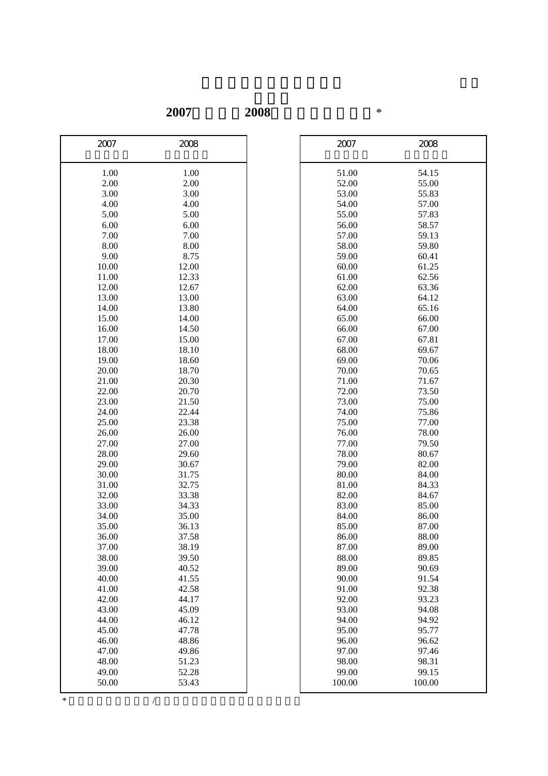**2007**年轉換至**2008**年的原始分換算表\*

| 2007  | 2008         | 2007   | 2008   |
|-------|--------------|--------|--------|
| 1.00  | 1.00         | 51.00  | 54.15  |
| 2.00  | 2.00         | 52.00  | 55.00  |
| 3.00  | 3.00         | 53.00  | 55.83  |
| 4.00  | 4.00         | 54.00  | 57.00  |
| 5.00  | 5.00         | 55.00  | 57.83  |
| 6.00  | 6.00         | 56.00  | 58.57  |
| 7.00  | 7.00         | 57.00  | 59.13  |
| 8.00  |              | 58.00  | 59.80  |
| 9.00  | 8.00<br>8.75 | 59.00  | 60.41  |
| 10.00 | 12.00        | 60.00  | 61.25  |
| 11.00 | 12.33        | 61.00  | 62.56  |
| 12.00 | 12.67        | 62.00  | 63.36  |
| 13.00 | 13.00        | 63.00  | 64.12  |
| 14.00 | 13.80        | 64.00  | 65.16  |
| 15.00 | 14.00        | 65.00  | 66.00  |
| 16.00 | 14.50        | 66.00  | 67.00  |
| 17.00 | 15.00        | 67.00  | 67.81  |
| 18.00 | 18.10        | 68.00  | 69.67  |
| 19.00 | 18.60        | 69.00  | 70.06  |
| 20.00 | 18.70        | 70.00  | 70.65  |
| 21.00 | 20.30        | 71.00  | 71.67  |
| 22.00 | 20.70        | 72.00  | 73.50  |
| 23.00 | 21.50        | 73.00  | 75.00  |
| 24.00 | 22.44        | 74.00  | 75.86  |
| 25.00 | 23.38        | 75.00  | 77.00  |
| 26.00 | 26.00        | 76.00  | 78.00  |
| 27.00 | 27.00        | 77.00  | 79.50  |
| 28.00 | 29.60        | 78.00  | 80.67  |
| 29.00 | 30.67        | 79.00  | 82.00  |
| 30.00 | 31.75        | 80.00  | 84.00  |
| 31.00 | 32.75        | 81.00  | 84.33  |
| 32.00 | 33.38        | 82.00  | 84.67  |
| 33.00 | 34.33        | 83.00  | 85.00  |
| 34.00 | 35.00        | 84.00  | 86.00  |
| 35.00 | 36.13        | 85.00  | 87.00  |
| 36.00 | 37.58        | 86.00  | 88.00  |
| 37.00 | 38.19        | 87.00  | 89.00  |
| 38.00 | 39.50        | 88.00  | 89.85  |
| 39.00 | 40.52        | 89.00  | 90.69  |
| 40.00 | 41.55        | 90.00  | 91.54  |
| 41.00 | 42.58        | 91.00  | 92.38  |
| 42.00 | 44.17        | 92.00  | 93.23  |
| 43.00 | 45.09        | 93.00  | 94.08  |
| 44.00 | 46.12        | 94.00  | 94.92  |
| 45.00 | 47.78        | 95.00  | 95.77  |
| 46.00 | 48.86        | 96.00  | 96.62  |
| 47.00 | 49.86        | 97.00  | 97.46  |
| 48.00 | 51.23        | 98.00  | 98.31  |
| 49.00 | 52.28        | 99.00  | 99.15  |
| 50.00 | 53.43        | 100.00 | 100.00 |

| 2007    | 2008   |  |
|---------|--------|--|
|         |        |  |
| 51.00   | 54.15  |  |
| 52.00   | 55.00  |  |
| 53.00   | 55.83  |  |
| 54.00   | 57.00  |  |
| 55.00   | 57.83  |  |
| 56.00   | 58.57  |  |
| 57.00   | 59.13  |  |
| 58.00   | 59.80  |  |
| 59.00   | 60.41  |  |
| 60.00   | 61.25  |  |
| 61.00   | 62.56  |  |
| 62.00   | 63.36  |  |
| 63.00   | 64.12  |  |
| 64.00   | 65.16  |  |
| 65.00   | 66.00  |  |
| 66.00   | 67.00  |  |
| 67.00   | 67.81  |  |
| 68.00   | 69.67  |  |
| 69.00   | 70.06  |  |
| 70.00   | 70.65  |  |
| 71.00   | 71.67  |  |
| 72.00   | 73.50  |  |
| 73.00   | 75.00  |  |
| 74.00   | 75.86  |  |
| 75.00   | 77.00  |  |
| 76.00   | 78.00  |  |
| 77.00   | 79.50  |  |
| 78.00   | 80.67  |  |
| 79.00   | 82.00  |  |
| 80.00   | 84.00  |  |
| 81.00   | 84.33  |  |
| 82.00   | 84.67  |  |
| 83.00   | 85.00  |  |
| 84.00   | 86.00  |  |
| 85.00   | 87.00  |  |
| 86.00   | 88.00  |  |
| 87.00   | 89.00  |  |
| 88.00   | 89.85  |  |
| 89.00   | 90.69  |  |
| 90.00   | 91.54  |  |
| 91.00   | 92.38  |  |
| 92.00   | 93.23  |  |
| 93.00   | 94.08  |  |
| 94.00   | 94.92  |  |
| 95.00   | 95.77  |  |
| 96.00   | 96.62  |  |
| 97.00   | 97.46  |  |
| 98.00   | 98.31  |  |
| 99.00   | 99.15  |  |
| 1 ሰሰ ሰሰ | 100.00 |  |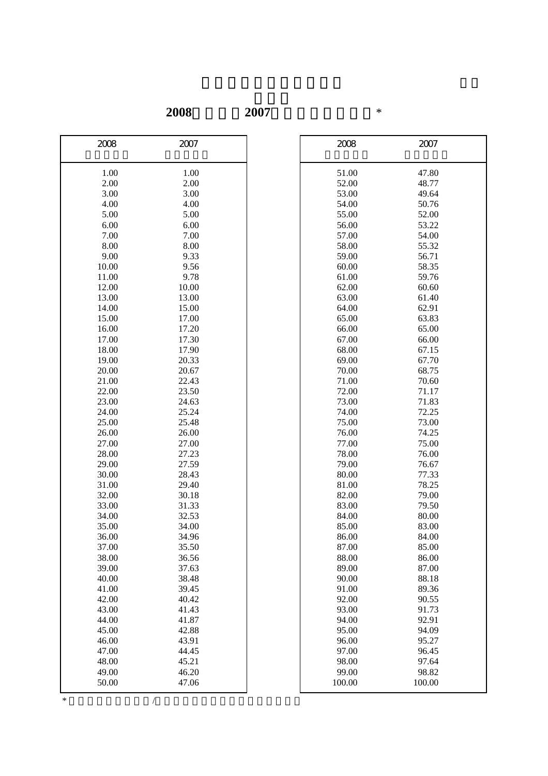# **2008**年轉換至**2007**年的原始分換算表\*

| 2008           | 2007           | 2008           | 2007           |
|----------------|----------------|----------------|----------------|
| 1.00           | 1.00           | 51.00          | 47.80          |
| 2.00           | $2.00\,$       | 52.00          | 48.77          |
| 3.00           | 3.00           | 53.00          | 49.64          |
| 4.00           | 4.00           | 54.00          | 50.76          |
| 5.00           | 5.00           | 55.00          | 52.00          |
| 6.00           | 6.00           | 56.00          | 53.22          |
| 7.00           | 7.00           | 57.00          | 54.00          |
| 8.00           | 8.00           | 58.00          | 55.32          |
| 9.00           | 9.33           | 59.00          | 56.71          |
| 10.00          | 9.56           | 60.00          | 58.35          |
| 11.00          | 9.78           | 61.00          | 59.76          |
| 12.00          | 10.00          | 62.00          | 60.60          |
| 13.00          | 13.00          | 63.00          | 61.40          |
| 14.00          | 15.00          | 64.00          | 62.91          |
| 15.00          | 17.00          | 65.00          | 63.83          |
| 16.00          | 17.20          | 66.00          | 65.00          |
| 17.00          | 17.30          | 67.00          | 66.00          |
| 18.00          | 17.90          | 68.00          | 67.15          |
| 19.00          | 20.33          | 69.00          | 67.70          |
| 20.00          | 20.67          | 70.00          | 68.75          |
| 21.00          | 22.43          | 71.00          | 70.60          |
| 22.00          | 23.50          | 72.00          | 71.17          |
| 23.00          | 24.63          | 73.00          | 71.83          |
| 24.00          | 25.24          | 74.00          | 72.25          |
| 25.00          | 25.48          | 75.00          | 73.00          |
| 26.00          | 26.00          | 76.00          | 74.25          |
| 27.00          | 27.00          | 77.00          | 75.00          |
| 28.00          | 27.23          | 78.00          | 76.00          |
| 29.00          | 27.59          | 79.00          | 76.67          |
| 30.00          | 28.43          | 80.00          | 77.33          |
| 31.00          | 29.40          | 81.00          | 78.25          |
| 32.00          | 30.18          | 82.00          | 79.00          |
| 33.00          | 31.33          | 83.00          | 79.50          |
| 34.00          | 32.53          | 84.00          | 80.00          |
| 35.00          | 34.00          | 85.00          | 83.00          |
| 36.00          | 34.96          | 86.00          | 84.00          |
| 37.00          | 35.50          | 87.00          | 85.00          |
| 38.00          | 36.56          | 88.00<br>89.00 | 86.00          |
| 39.00          | 37.63          |                | 87.00          |
| 40.00          | 38.48          | 90.00          | 88.18          |
| 41.00          | 39.45          | 91.00          | 89.36          |
| 42.00          | 40.42          | 92.00          | 90.55          |
| 43.00<br>44.00 | 41.43<br>41.87 | 93.00<br>94.00 | 91.73          |
| 45.00          | 42.88          | 95.00          | 92.91<br>94.09 |
| 46.00          | 43.91          | 96.00          | 95.27          |
| 47.00          | 44.45          | 97.00          | 96.45          |
| 48.00          | 45.21          | 98.00          | 97.64          |
| 49.00          | 46.20          | 99.00          | 98.82          |
| 50.00          | 47.06          | 100.00         | 100.00         |
|                |                |                |                |

| 2008   | 2007   |
|--------|--------|
| 51.00  | 47.80  |
| 52.00  | 48.77  |
| 53.00  | 49.64  |
| 54.00  | 50.76  |
| 55.00  | 52.00  |
| 56.00  | 53.22  |
| 57.00  | 54.00  |
| 58.00  | 55.32  |
| 59.00  | 56.71  |
| 60.00  | 58.35  |
| 61.00  | 59.76  |
| 62.00  | 60.60  |
| 63.00  | 61.40  |
| 64.00  | 62.91  |
| 65.00  | 63.83  |
| 66.00  | 65.00  |
| 67.00  | 66.00  |
| 68.00  | 67.15  |
| 69.00  | 67.70  |
| 70.00  | 68.75  |
| 71.00  | 70.60  |
| 72.00  | 71.17  |
| 73.00  | 71.83  |
| 74.00  | 72.25  |
| 75.00  | 73.00  |
| 76.00  | 74.25  |
| 77.00  | 75.00  |
| 78.00  | 76.00  |
| 79.00  | 76.67  |
| 80.00  | 77.33  |
| 81.00  | 78.25  |
| 82.00  | 79.00  |
| 83.00  | 79.50  |
| 84.00  | 80.00  |
| 85.00  | 83.00  |
| 86.00  | 84.00  |
| 87.00  | 85.00  |
| 88.00  | 86.00  |
| 89.00  | 87.00  |
| 90.00  | 88.18  |
| 91.00  | 89.36  |
| 92.00  | 90.55  |
| 93.00  | 91.73  |
| 94.00  | 92.91  |
| 95.00  | 94.09  |
| 96.00  | 95.27  |
| 97.00  | 96.45  |
| 98.00  | 97.64  |
|        |        |
| 99.00  | 98.82  |
| 100.00 | 100.00 |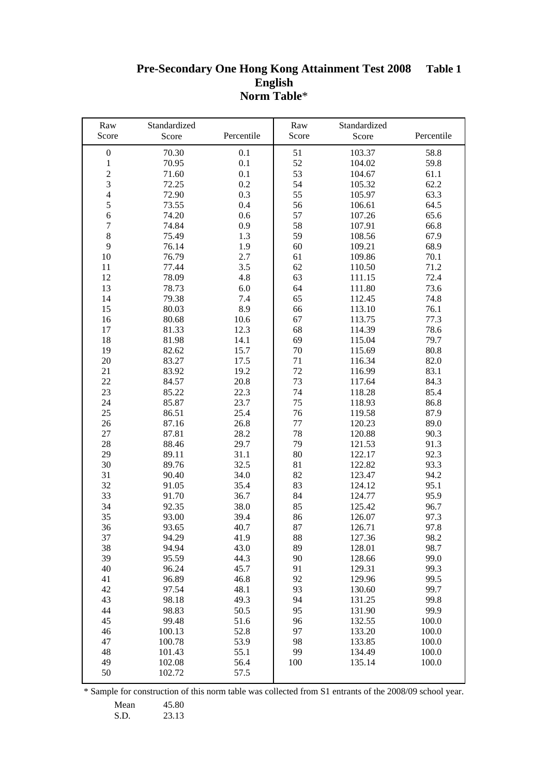#### **Pre-Secondary One Hong Kong Attainment Test 2008 English Norm Table**\* **Table 1**

| Raw                            | Standardized |            | Raw     | Standardized |            |
|--------------------------------|--------------|------------|---------|--------------|------------|
| Score                          | Score        | Percentile | Score   | Score        | Percentile |
| $\boldsymbol{0}$               | 70.30        | 0.1        | 51      | 103.37       | 58.8       |
| $\mathbf{1}$                   | 70.95        | 0.1        | 52      | 104.02       | 59.8       |
| $\overline{c}$                 | 71.60        | 0.1        | 53      | 104.67       | 61.1       |
| $\overline{3}$                 | 72.25        | 0.2        | 54      | 105.32       | 62.2       |
| $\overline{4}$                 | 72.90        | 0.3        | 55      | 105.97       | 63.3       |
| 5                              | 73.55        | 0.4        | 56      | 106.61       | 64.5       |
|                                |              |            |         |              |            |
| $\sqrt{6}$<br>$\boldsymbol{7}$ | 74.20        | 0.6        | 57      | 107.26       | 65.6       |
|                                | 74.84        | 0.9        | 58      | 107.91       | 66.8       |
| $\,8\,$                        | 75.49        | 1.3        | 59      | 108.56       | 67.9       |
| 9                              | 76.14        | 1.9        | 60      | 109.21       | 68.9       |
| 10                             | 76.79        | 2.7        | 61      | 109.86       | 70.1       |
| 11                             | 77.44        | 3.5        | $62\,$  | 110.50       | 71.2       |
| 12                             | 78.09        | 4.8        | 63      | 111.15       | 72.4       |
| 13                             | 78.73        | 6.0        | 64      | 111.80       | 73.6       |
| 14                             | 79.38        | 7.4        | 65      | 112.45       | 74.8       |
| 15                             | 80.03        | 8.9        | 66      | 113.10       | 76.1       |
| 16                             | 80.68        | 10.6       | 67      | 113.75       | 77.3       |
| 17                             | 81.33        | 12.3       | 68      | 114.39       | 78.6       |
| 18                             | 81.98        | 14.1       | 69      | 115.04       | 79.7       |
| 19                             | 82.62        | 15.7       | 70      | 115.69       | 80.8       |
| 20                             | 83.27        | 17.5       | 71      | 116.34       | 82.0       |
| 21                             | 83.92        | 19.2       | 72      | 116.99       | 83.1       |
| 22                             | 84.57        | 20.8       | 73      | 117.64       | 84.3       |
| 23                             | 85.22        | 22.3       | 74      | 118.28       | 85.4       |
| 24                             | 85.87        | 23.7       | 75      | 118.93       | 86.8       |
| 25                             | 86.51        | 25.4       | 76      | 119.58       | 87.9       |
| 26                             | 87.16        | 26.8       | $77 \,$ | 120.23       | 89.0       |
| 27                             | 87.81        | 28.2       | 78      | 120.88       | 90.3       |
| 28                             | 88.46        | 29.7       | 79      | 121.53       | 91.3       |
| 29                             | 89.11        | 31.1       | 80      | 122.17       | 92.3       |
| 30                             | 89.76        | 32.5       | 81      | 122.82       | 93.3       |
| 31                             | 90.40        | 34.0       | 82      | 123.47       | 94.2       |
| 32                             | 91.05        | 35.4       | 83      | 124.12       | 95.1       |
| 33                             | 91.70        | 36.7       | 84      | 124.77       | 95.9       |
| 34                             | 92.35        | 38.0       | 85      | 125.42       | 96.7       |
| 35                             | 93.00        | 39.4       | 86      | 126.07       | 97.3       |
| 36                             | 93.65        | 40.7       | 87      | 126.71       | 97.8       |
| 37                             | 94.29        | 41.9       | 88      | 127.36       | 98.2       |
| 38                             | 94.94        | 43.0       | 89      | 128.01       | 98.7       |
| 39                             | 95.59        | 44.3       | 90      | 128.66       | 99.0       |
| 40                             | 96.24        | 45.7       | 91      | 129.31       | 99.3       |
| 41                             | 96.89        | 46.8       | 92      | 129.96       | 99.5       |
| 42                             | 97.54        | 48.1       | 93      | 130.60       | 99.7       |
| 43                             | 98.18        | 49.3       | 94      | 131.25       | 99.8       |
| 44                             | 98.83        | 50.5       | 95      | 131.90       | 99.9       |
| 45                             | 99.48        | 51.6       | 96      | 132.55       | 100.0      |
| 46                             | 100.13       | 52.8       | 97      | 133.20       | 100.0      |
| 47                             | 100.78       | 53.9       | 98      | 133.85       | 100.0      |
| 48                             | 101.43       | 55.1       | 99      | 134.49       | 100.0      |
| 49                             | 102.08       | 56.4       | 100     | 135.14       | 100.0      |
| 50                             | 102.72       | 57.5       |         |              |            |
|                                |              |            |         |              |            |

Mean 45.80

S.D. 23.13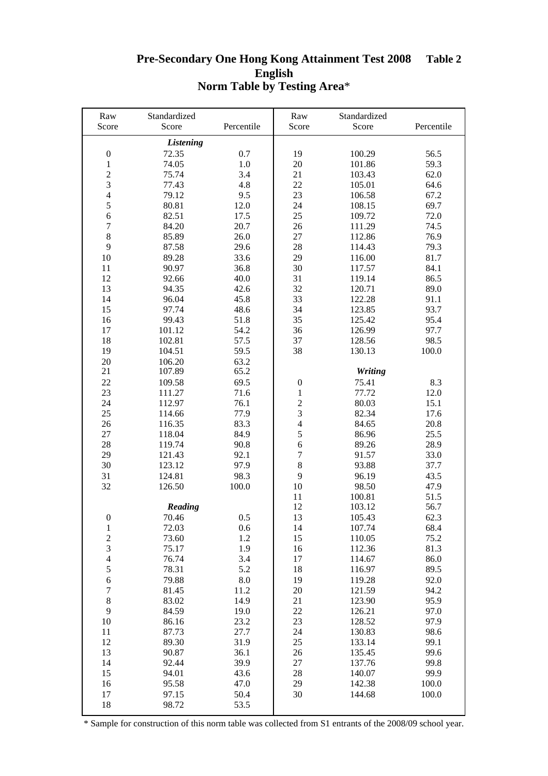#### **Pre-Secondary One Hong Kong Attainment Test 2008 English Norm Table by Testing Area**\* **Table 2**

| Raw                     | Standardized     |            | Raw                      | Standardized |            |
|-------------------------|------------------|------------|--------------------------|--------------|------------|
| Score                   | Score            | Percentile | Score                    | Score        | Percentile |
|                         | <b>Listening</b> |            |                          |              |            |
| $\boldsymbol{0}$        | 72.35            | 0.7        | 19                       | 100.29       | 56.5       |
| $\mathbf{1}$            | 74.05            | 1.0        | 20                       | 101.86       | 59.3       |
| $\sqrt{2}$              | 75.74            | 3.4        | 21                       | 103.43       | 62.0       |
| $\overline{3}$          | 77.43            | 4.8        | 22                       | 105.01       | 64.6       |
| $\overline{4}$          | 79.12            | 9.5        | 23                       | 106.58       | 67.2       |
| 5                       | 80.81            | 12.0       | 24                       | 108.15       | 69.7       |
| $\sqrt{6}$              | 82.51            |            | 25                       | 109.72       | 72.0       |
|                         |                  | 17.5       |                          |              |            |
| $\boldsymbol{7}$        | 84.20            | 20.7       | 26                       | 111.29       | 74.5       |
| $\,8\,$                 | 85.89            | 26.0       | 27                       | 112.86       | 76.9       |
| 9                       | 87.58            | 29.6       | 28                       | 114.43       | 79.3       |
| 10                      | 89.28            | 33.6       | 29                       | 116.00       | 81.7       |
| 11                      | 90.97            | 36.8       | 30                       | 117.57       | 84.1       |
| 12                      | 92.66            | 40.0       | 31                       | 119.14       | 86.5       |
| 13                      | 94.35            | 42.6       | 32                       | 120.71       | 89.0       |
| 14                      | 96.04            | 45.8       | 33                       | 122.28       | 91.1       |
| 15                      | 97.74            | 48.6       | 34                       | 123.85       | 93.7       |
| 16                      | 99.43            | 51.8       | 35                       | 125.42       | 95.4       |
| 17                      | 101.12           | 54.2       | 36                       | 126.99       | 97.7       |
| 18                      | 102.81           | 57.5       | 37                       | 128.56       | 98.5       |
| 19                      | 104.51           | 59.5       | 38                       | 130.13       | 100.0      |
| $20\,$                  | 106.20           | 63.2       |                          |              |            |
| 21                      | 107.89           | 65.2       |                          | Writing      |            |
| 22                      | 109.58           | 69.5       | $\boldsymbol{0}$         | 75.41        | 8.3        |
| 23                      | 111.27           | 71.6       | $\mathbf{1}$             | 77.72        | 12.0       |
| 24                      | 112.97           | 76.1       | $\overline{c}$           | 80.03        | 15.1       |
| 25                      | 114.66           | 77.9       | $\mathfrak{Z}$           | 82.34        | 17.6       |
| 26                      | 116.35           | 83.3       | $\overline{\mathcal{L}}$ | 84.65        | 20.8       |
|                         |                  |            | 5                        |              | 25.5       |
| 27                      | 118.04           | 84.9       | 6                        | 86.96        |            |
| 28                      | 119.74           | 90.8       |                          | 89.26        | 28.9       |
| 29                      | 121.43           | 92.1       | $\boldsymbol{7}$         | 91.57        | 33.0       |
| 30                      | 123.12           | 97.9       | $\,8\,$                  | 93.88        | 37.7       |
| 31                      | 124.81           | 98.3       | 9                        | 96.19        | 43.5       |
| 32                      | 126.50           | 100.0      | 10                       | 98.50        | 47.9       |
|                         |                  |            | 11                       | 100.81       | 51.5       |
|                         | Reading          |            | 12                       | 103.12       | 56.7       |
| $\overline{0}$          | 70.46            | 0.5        | 13                       | 105.43       | 62.3       |
| 1                       | 72.03            | 0.6        | 14                       | 107.74       | 68.4       |
| $\overline{c}$          | 73.60            | 1.2        | 15                       | 110.05       | 75.2       |
| $\overline{\mathbf{3}}$ | 75.17            | 1.9        | 16                       | 112.36       | 81.3       |
| $\overline{4}$          | 76.74            | 3.4        | 17                       | 114.67       | 86.0       |
| $\sqrt{5}$              | 78.31            | 5.2        | 18                       | 116.97       | 89.5       |
| $\sqrt{6}$              | 79.88            | 8.0        | 19                       | 119.28       | 92.0       |
| $\tau$                  | 81.45            | 11.2       | 20                       | 121.59       | 94.2       |
| $\,8\,$                 | 83.02            | 14.9       | 21                       | 123.90       | 95.9       |
| 9                       | 84.59            | 19.0       | 22                       | 126.21       | 97.0       |
| 10                      | 86.16            | 23.2       | 23                       | 128.52       | 97.9       |
| 11                      | 87.73            | 27.7       | 24                       | 130.83       | 98.6       |
| 12                      | 89.30            | 31.9       | 25                       | 133.14       | 99.1       |
| 13                      | 90.87            | 36.1       | 26                       | 135.45       | 99.6       |
| 14                      | 92.44            | 39.9       | 27                       | 137.76       | 99.8       |
| 15                      | 94.01            | 43.6       | 28                       | 140.07       | 99.9       |
| 16                      | 95.58            | 47.0       | 29                       | 142.38       | 100.0      |
| 17                      | 97.15            | 50.4       | 30                       | 144.68       | 100.0      |
|                         |                  |            |                          |              |            |
| 18                      | 98.72            | 53.5       |                          |              |            |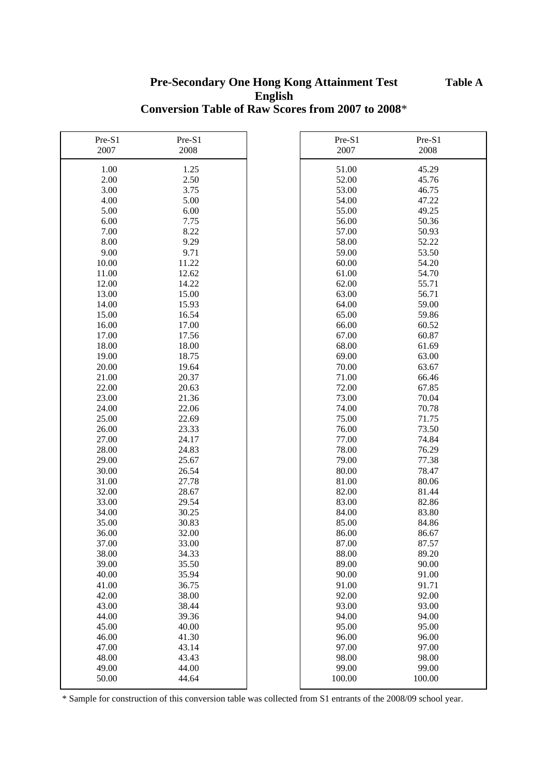## **Pre-Secondary One Hong Kong Attainment Test English Conversion Table of Raw Scores from 2007 to 2008**\*

| Pre-S1 | Pre-S1 | Pre-S1 | Pre-S1 |
|--------|--------|--------|--------|
| 2007   | 2008   | 2007   | 2008   |
| 1.00   | 1.25   | 51.00  | 45.29  |
| 2.00   | 2.50   | 52.00  | 45.76  |
| 3.00   | 3.75   | 53.00  | 46.75  |
| 4.00   | 5.00   | 54.00  | 47.22  |
| 5.00   | 6.00   | 55.00  | 49.25  |
| 6.00   | 7.75   | 56.00  | 50.36  |
| 7.00   | 8.22   | 57.00  | 50.93  |
| 8.00   | 9.29   | 58.00  | 52.22  |
| 9.00   | 9.71   | 59.00  | 53.50  |
| 10.00  | 11.22  | 60.00  | 54.20  |
| 11.00  | 12.62  | 61.00  | 54.70  |
| 12.00  | 14.22  | 62.00  | 55.71  |
| 13.00  | 15.00  | 63.00  | 56.71  |
| 14.00  | 15.93  | 64.00  | 59.00  |
| 15.00  | 16.54  | 65.00  | 59.86  |
| 16.00  | 17.00  | 66.00  | 60.52  |
| 17.00  | 17.56  | 67.00  | 60.87  |
| 18.00  | 18.00  | 68.00  | 61.69  |
| 19.00  | 18.75  | 69.00  | 63.00  |
| 20.00  | 19.64  | 70.00  | 63.67  |
| 21.00  | 20.37  | 71.00  | 66.46  |
| 22.00  | 20.63  | 72.00  | 67.85  |
| 23.00  | 21.36  | 73.00  | 70.04  |
| 24.00  | 22.06  | 74.00  | 70.78  |
| 25.00  | 22.69  | 75.00  | 71.75  |
| 26.00  | 23.33  | 76.00  | 73.50  |
| 27.00  | 24.17  | 77.00  | 74.84  |
| 28.00  | 24.83  | 78.00  | 76.29  |
| 29.00  | 25.67  | 79.00  | 77.38  |
| 30.00  | 26.54  | 80.00  | 78.47  |
| 31.00  | 27.78  | 81.00  | 80.06  |
| 32.00  | 28.67  | 82.00  | 81.44  |
| 33.00  | 29.54  | 83.00  | 82.86  |
| 34.00  | 30.25  | 84.00  | 83.80  |
| 35.00  | 30.83  | 85.00  | 84.86  |
| 36.00  | 32.00  | 86.00  | 86.67  |
| 37.00  | 33.00  | 87.00  | 87.57  |
| 38.00  | 34.33  | 88.00  | 89.20  |
| 39.00  | 35.50  | 89.00  | 90.00  |
| 40.00  | 35.94  | 90.00  | 91.00  |
| 41.00  | 36.75  | 91.00  | 91.71  |
| 42.00  | 38.00  | 92.00  | 92.00  |
| 43.00  | 38.44  | 93.00  | 93.00  |
| 44.00  | 39.36  | 94.00  | 94.00  |
| 45.00  | 40.00  | 95.00  | 95.00  |
| 46.00  | 41.30  | 96.00  | 96.00  |
| 47.00  | 43.14  | 97.00  | 97.00  |
| 48.00  | 43.43  | 98.00  | 98.00  |
| 49.00  | 44.00  | 99.00  | 99.00  |
| 50.00  | 44.64  | 100.00 | 100.00 |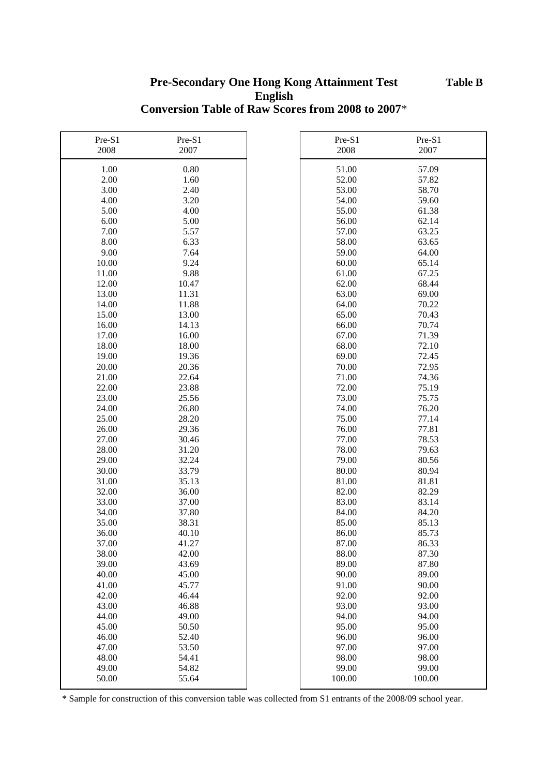## **Pre-Secondary One Hong Kong Attainment Test English Conversion Table of Raw Scores from 2008 to 2007**\*

| Pre-S1 | Pre-S1 | Pre-S1 | Pre-S1 |
|--------|--------|--------|--------|
| 2008   | 2007   | 2008   | 2007   |
| 1.00   | 0.80   | 51.00  | 57.09  |
| 2.00   | 1.60   | 52.00  | 57.82  |
| 3.00   | 2.40   | 53.00  | 58.70  |
| 4.00   | 3.20   | 54.00  | 59.60  |
| 5.00   | 4.00   | 55.00  | 61.38  |
| 6.00   | 5.00   | 56.00  | 62.14  |
| 7.00   | 5.57   | 57.00  | 63.25  |
| 8.00   | 6.33   | 58.00  | 63.65  |
| 9.00   | 7.64   | 59.00  | 64.00  |
| 10.00  | 9.24   | 60.00  | 65.14  |
| 11.00  | 9.88   | 61.00  | 67.25  |
| 12.00  | 10.47  | 62.00  | 68.44  |
| 13.00  | 11.31  | 63.00  | 69.00  |
| 14.00  | 11.88  | 64.00  | 70.22  |
| 15.00  | 13.00  | 65.00  | 70.43  |
| 16.00  | 14.13  | 66.00  | 70.74  |
| 17.00  | 16.00  | 67.00  | 71.39  |
| 18.00  | 18.00  | 68.00  | 72.10  |
| 19.00  | 19.36  | 69.00  | 72.45  |
| 20.00  | 20.36  | 70.00  | 72.95  |
| 21.00  | 22.64  | 71.00  | 74.36  |
| 22.00  | 23.88  | 72.00  | 75.19  |
| 23.00  | 25.56  | 73.00  | 75.75  |
| 24.00  | 26.80  | 74.00  | 76.20  |
| 25.00  | 28.20  | 75.00  | 77.14  |
| 26.00  | 29.36  | 76.00  | 77.81  |
| 27.00  | 30.46  | 77.00  | 78.53  |
| 28.00  | 31.20  | 78.00  | 79.63  |
| 29.00  | 32.24  | 79.00  | 80.56  |
| 30.00  | 33.79  | 80.00  | 80.94  |
| 31.00  | 35.13  | 81.00  | 81.81  |
| 32.00  | 36.00  | 82.00  | 82.29  |
| 33.00  | 37.00  | 83.00  | 83.14  |
| 34.00  | 37.80  | 84.00  | 84.20  |
| 35.00  | 38.31  | 85.00  | 85.13  |
| 36.00  | 40.10  | 86.00  | 85.73  |
| 37.00  | 41.27  | 87.00  | 86.33  |
| 38.00  | 42.00  | 88.00  | 87.30  |
| 39.00  | 43.69  | 89.00  | 87.80  |
| 40.00  | 45.00  | 90.00  | 89.00  |
| 41.00  | 45.77  | 91.00  | 90.00  |
| 42.00  | 46.44  | 92.00  | 92.00  |
| 43.00  | 46.88  | 93.00  | 93.00  |
| 44.00  | 49.00  | 94.00  | 94.00  |
| 45.00  | 50.50  | 95.00  | 95.00  |
| 46.00  | 52.40  | 96.00  | 96.00  |
| 47.00  | 53.50  | 97.00  | 97.00  |
| 48.00  | 54.41  | 98.00  | 98.00  |
| 49.00  | 54.82  | 99.00  | 99.00  |
| 50.00  | 55.64  | 100.00 | 100.00 |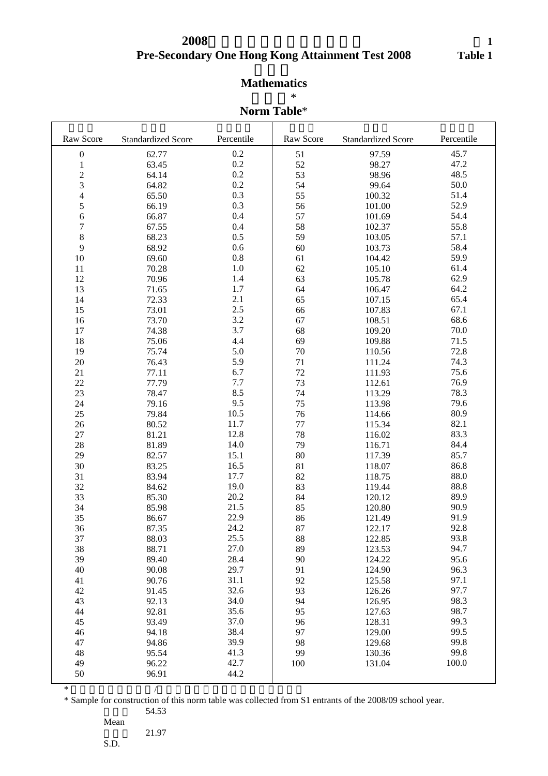# **Pre-Secondary One Hong Kong Attainment Test 2008 2008**年中一入學前香港學科測驗

# **Mathematics**

 $*$ 

#### **Norm Table**\*

| Raw Score        | <b>Standardized Score</b> | Percentile | Raw Score | <b>Standardized Score</b> | Percentile |
|------------------|---------------------------|------------|-----------|---------------------------|------------|
| $\boldsymbol{0}$ | 62.77                     | 0.2        | 51        | 97.59                     | 45.7       |
| $\mathbf{1}$     | 63.45                     | 0.2        | 52        | 98.27                     | 47.2       |
| $\overline{c}$   | 64.14                     | 0.2        | 53        | 98.96                     | 48.5       |
| 3                | 64.82                     | 0.2        | 54        | 99.64                     | 50.0       |
| 4                | 65.50                     | 0.3        | 55        | 100.32                    | 51.4       |
| 5                | 66.19                     | 0.3        | 56        | 101.00                    | 52.9       |
| 6                | 66.87                     | 0.4        | 57        | 101.69                    | 54.4       |
| $\overline{7}$   | 67.55                     | 0.4        | 58        | 102.37                    | 55.8       |
| 8                | 68.23                     | 0.5        | 59        | 103.05                    | 57.1       |
| 9                | 68.92                     | 0.6        | 60        | 103.73                    | 58.4       |
| 10               | 69.60                     | 0.8        | 61        | 104.42                    | 59.9       |
| 11               | 70.28                     | 1.0        | 62        | 105.10                    | 61.4       |
| 12               | 70.96                     | 1.4        | 63        | 105.78                    | 62.9       |
| 13               | 71.65                     | 1.7        | 64        | 106.47                    | 64.2       |
| 14               | 72.33                     | 2.1        | 65        | 107.15                    | 65.4       |
| 15               | 73.01                     | 2.5        | 66        | 107.83                    | 67.1       |
| 16               | 73.70                     | 3.2        | 67        | 108.51                    | 68.6       |
| 17               | 74.38                     | 3.7        | 68        | 109.20                    | 70.0       |
| 18               | 75.06                     | 4.4        | 69        | 109.88                    | 71.5       |
| 19               | 75.74                     | 5.0        | 70        | 110.56                    | 72.8       |
| $20\,$           | 76.43                     | 5.9        | 71        | 111.24                    | 74.3       |
| 21               | 77.11                     | 6.7        | 72        | 111.93                    | 75.6       |
| 22               | 77.79                     | 7.7        | 73        | 112.61                    | 76.9       |
| 23               | 78.47                     | 8.5        | 74        | 113.29                    | 78.3       |
| 24               | 79.16                     | 9.5        | 75        | 113.98                    | 79.6       |
| 25               | 79.84                     | 10.5       | 76        | 114.66                    | 80.9       |
| 26               | 80.52                     | 11.7       | 77        | 115.34                    | 82.1       |
| 27               | 81.21                     | 12.8       | 78        | 116.02                    | 83.3       |
| 28               | 81.89                     | 14.0       | 79        | 116.71                    | 84.4       |
| 29               | 82.57                     | 15.1       | 80        | 117.39                    | 85.7       |
| 30               | 83.25                     | 16.5       | 81        | 118.07                    | 86.8       |
| 31               | 83.94                     | 17.7       | 82        | 118.75                    | 88.0       |
| 32               | 84.62                     | 19.0       | 83        | 119.44                    | 88.8       |
| 33               | 85.30                     | 20.2       | 84        | 120.12                    | 89.9       |
| 34               | 85.98                     | 21.5       | 85        | 120.80                    | 90.9       |
| 35               | 86.67                     | 22.9       | 86        | 121.49                    | 91.9       |
| 36               | 87.35                     | 24.2       | 87        | 122.17                    | 92.8       |
| 37               | 88.03                     | 25.5       | 88        | 122.85                    | 93.8       |
| 38               | 88.71                     | 27.0       | 89        | 123.53                    | 94.7       |
| 39               | 89.40                     | 28.4       | 90        | 124.22                    | 95.6       |
| 40               | 90.08                     | 29.7       | 91        | 124.90                    | 96.3       |
| 41               | 90.76                     | 31.1       | 92        | 125.58                    | 97.1       |
| 42               | 91.45                     | 32.6       | 93        | 126.26                    | 97.7       |
| 43               | 92.13                     | 34.0       | 94        | 126.95                    | 98.3       |
| 44               | 92.81                     | 35.6       | 95        | 127.63                    | 98.7       |
| 45               | 93.49                     | 37.0       | 96        | 128.31                    | 99.3       |
| 46               | 94.18                     | 38.4       | 97        | 129.00                    | 99.5       |
| 47               | 94.86                     | 39.9       | 98        | 129.68                    | 99.8       |
| 48               | 95.54                     | 41.3       | 99        | 130.36                    | 99.8       |
| 49               | 96.22                     | 42.7       | 100       | 131.04                    | 100.0      |
| 50               | 96.91                     | 44.2       |           |                           |            |

 $*$ 

\* Sample for construction of this norm table was collected from S1 entrants of the 2008/09 school year. 54.53

Mean

21.97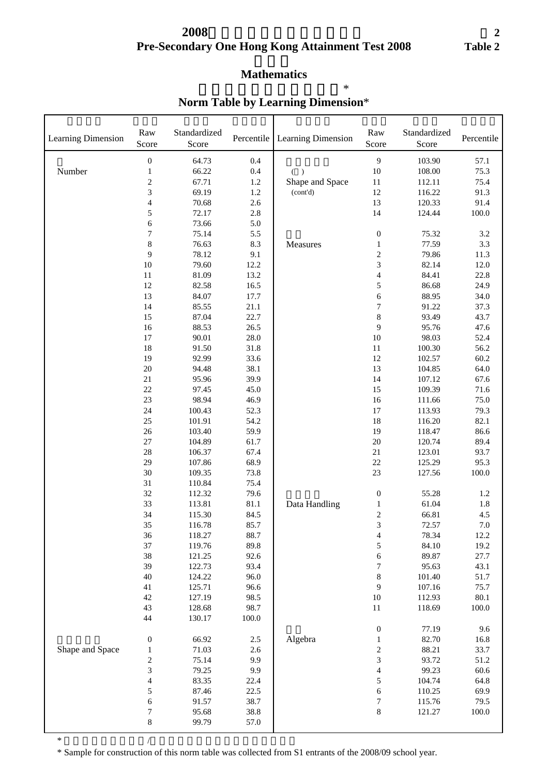# **Pre-Secondary One Hong Kong Attainment Test 2008 2008**年中一入學前香港學科測驗

#### **Mathematics**

| Learning Dimension | Raw<br>Score             | Standardized<br>Score | Percentile | Learning Dimension | Raw<br>Score             | Standardized<br>Score | Percentile |
|--------------------|--------------------------|-----------------------|------------|--------------------|--------------------------|-----------------------|------------|
|                    | $\boldsymbol{0}$         | 64.73                 | 0.4        |                    | 9                        | 103.90                | 57.1       |
| Number             | $\mathbf{1}$             | 66.22                 | 0.4        | $($ )              | 10                       | 108.00                | 75.3       |
|                    | $\overline{c}$           | 67.71                 | 1.2        | Shape and Space    | 11                       | 112.11                | 75.4       |
|                    | 3                        | 69.19                 | 1.2        | (cont'd)           | 12                       | 116.22                | 91.3       |
|                    | $\overline{\mathbf{4}}$  | 70.68                 | 2.6        |                    | 13                       | 120.33                | 91.4       |
|                    | 5                        | 72.17                 | $2.8\,$    |                    | 14                       | 124.44                | $100.0\,$  |
|                    | 6                        | 73.66                 | 5.0        |                    |                          |                       |            |
|                    | $\overline{7}$           | 75.14                 | 5.5        |                    | $\boldsymbol{0}$         | 75.32                 | 3.2        |
|                    | 8                        | 76.63                 | 8.3        | Measures           | $\mathbf 1$              | 77.59                 | 3.3        |
|                    | 9                        | 78.12                 | 9.1        |                    | $\boldsymbol{2}$         | 79.86                 | 11.3       |
|                    | 10                       | 79.60                 | 12.2       |                    | $\mathfrak{Z}$           | 82.14                 | $12.0\,$   |
|                    | $11\,$                   | 81.09                 | 13.2       |                    | $\overline{4}$           | 84.41                 | 22.8       |
|                    | 12                       | 82.58                 | 16.5       |                    | 5                        | 86.68                 | 24.9       |
|                    | 13                       | 84.07                 | 17.7       |                    | $\sqrt{6}$               | 88.95                 | 34.0       |
|                    | 14                       | 85.55                 | 21.1       |                    | $\boldsymbol{7}$         | 91.22                 | 37.3       |
|                    | 15                       | 87.04                 | 22.7       |                    | $\,$ 8 $\,$              | 93.49                 | 43.7       |
|                    | 16                       | 88.53                 | 26.5       |                    | 9                        | 95.76                 | 47.6       |
|                    | 17                       | 90.01                 | 28.0       |                    | $10\,$                   | 98.03                 | 52.4       |
|                    | 18                       | 91.50                 | 31.8       |                    | 11                       | 100.30                | 56.2       |
|                    | 19                       | 92.99                 | 33.6       |                    | 12                       | 102.57                | 60.2       |
|                    | $20\,$                   | 94.48                 | 38.1       |                    | 13                       | 104.85                | 64.0       |
|                    | 21                       | 95.96                 | 39.9       |                    | 14                       | 107.12                | 67.6       |
|                    | 22                       | 97.45                 | 45.0       |                    | 15                       | 109.39                | 71.6       |
|                    | 23                       | 98.94                 | 46.9       |                    | 16                       | 111.66                | 75.0       |
|                    | 24                       | 100.43                | 52.3       |                    | $17\,$                   | 113.93                | 79.3       |
|                    | 25                       | 101.91                | 54.2       |                    | 18                       | 116.20                | 82.1       |
|                    | $26\,$                   | 103.40                | 59.9       |                    | 19                       | 118.47                | 86.6       |
|                    | $27\,$                   | 104.89                | 61.7       |                    | $20\,$                   | 120.74                | 89.4       |
|                    | 28                       | 106.37                | 67.4       |                    | 21                       | 123.01                | 93.7       |
|                    | 29                       | 107.86                | 68.9       |                    | $22\,$                   | 125.29                | 95.3       |
|                    | 30                       | 109.35                | 73.8       |                    | 23                       | 127.56                | $100.0\,$  |
|                    | 31                       | 110.84                | 75.4       |                    |                          |                       |            |
|                    | 32                       | 112.32                | 79.6       |                    | $\boldsymbol{0}$         | 55.28                 | $1.2\,$    |
|                    | 33                       | 113.81                | $81.1\,$   | Data Handling      | $\,1\,$                  | 61.04                 | 1.8        |
|                    | 34                       | 115.30                | 84.5       |                    | $\overline{c}$           | 66.81                 | 4.5        |
|                    | 35                       | 116.78                | 85.7       |                    | 3                        | 72.57                 | $7.0\,$    |
|                    | 36                       | 118.27                | 88.7       |                    | $\overline{\mathcal{A}}$ | 78.34                 | 12.2       |
|                    | 37                       | 119.76                | 89.8       |                    | 5                        | 84.10                 | 19.2       |
|                    | 38                       | 121.25                | 92.6       |                    | $\boldsymbol{6}$         | 89.87                 | 27.7       |
|                    | 39                       | 122.73                | 93.4       |                    | $\sqrt{ }$               | 95.63                 | 43.1       |
|                    | $40\,$                   | 124.22                | 96.0       |                    | 8                        | 101.40                | 51.7       |
|                    | 41                       | 125.71                | 96.6       |                    | 9                        | 107.16                | 75.7       |
|                    | 42                       | 127.19                | 98.5       |                    | $10\,$                   | 112.93                | 80.1       |
|                    | 43                       | 128.68                | 98.7       |                    | 11                       | 118.69                | $100.0\,$  |
|                    | 44                       | 130.17                | 100.0      |                    |                          |                       |            |
|                    |                          |                       |            |                    | $\boldsymbol{0}$         | 77.19                 | 9.6        |
|                    | $\boldsymbol{0}$         | 66.92                 | $2.5\,$    | Algebra            | $\mathbf{1}$             | 82.70                 | 16.8       |
| Shape and Space    | 1                        | 71.03                 | 2.6        |                    | $\overline{\mathbf{c}}$  | 88.21                 | 33.7       |
|                    | $\overline{c}$           | 75.14                 | 9.9        |                    | 3                        | 93.72                 | 51.2       |
|                    | 3                        | 79.25                 | 9.9        |                    | $\overline{4}$           | 99.23                 | 60.6       |
|                    | $\overline{\mathcal{L}}$ | 83.35                 | 22.4       |                    | 5                        | 104.74                | 64.8       |
|                    | 5                        | 87.46                 | 22.5       |                    | 6                        | 110.25                | 69.9       |
|                    | 6                        | 91.57                 | 38.7       |                    | $\boldsymbol{7}$         | 115.76                | 79.5       |
|                    | 7                        | 95.68                 | 38.8       |                    | $\,8\,$                  | 121.27                | 100.0      |
|                    | $\,$ 8 $\,$              | 99.79                 | 57.0       |                    |                          |                       |            |

## **Norm Table by Learning Dimension**\* 按學習範疇劃分的常模表\*

\* Sample for construction of this norm table was collected from S1 entrants of the 2008/09 school year.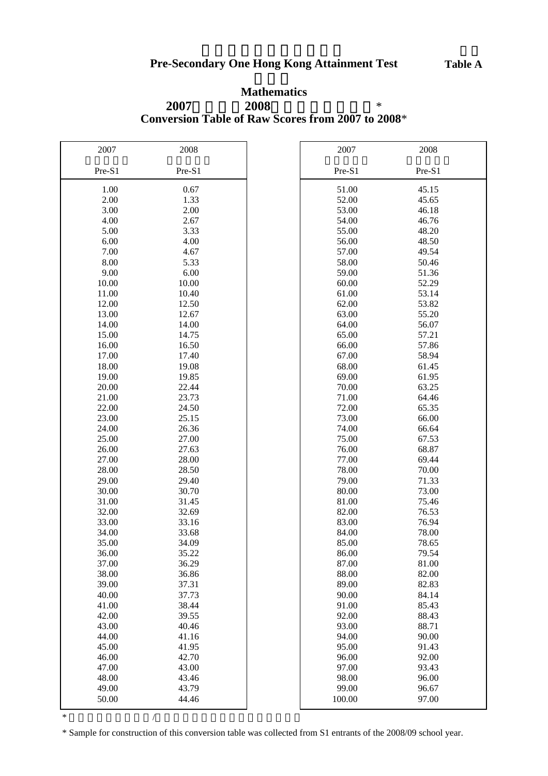# **Conversion Table of Raw Scores from 2007 to 2008**\* **2007 2008 \* Mathematics**

| 2007           | 2008           | 2007           | 2008           |
|----------------|----------------|----------------|----------------|
| Pre-S1         | Pre-S1         | Pre-S1         | Pre-S1         |
| 1.00           | 0.67           | 51.00          | 45.15          |
| 2.00           | 1.33           | 52.00          | 45.65          |
| 3.00           | 2.00           | 53.00          | 46.18          |
| 4.00           | 2.67           | 54.00          | 46.76          |
| 5.00           | 3.33           | 55.00          | 48.20          |
| 6.00           | 4.00           | 56.00          | 48.50          |
| 7.00           | 4.67           | 57.00          | 49.54          |
| 8.00           | 5.33           | 58.00          | 50.46          |
| 9.00           | 6.00           | 59.00          | 51.36          |
| 10.00          | 10.00          | 60.00          | 52.29          |
| 11.00          | 10.40          | 61.00          | 53.14          |
| 12.00          | 12.50          | 62.00          | 53.82          |
| 13.00          | 12.67          | 63.00          | 55.20          |
| 14.00          | 14.00          | 64.00          | 56.07          |
| 15.00          | 14.75          | 65.00          | 57.21          |
| 16.00          | 16.50          | 66.00          | 57.86          |
| 17.00          | 17.40          | 67.00          | 58.94          |
| 18.00          | 19.08          | 68.00          | 61.45          |
| 19.00          | 19.85          | 69.00          | 61.95          |
| 20.00          | 22.44          | 70.00          | 63.25          |
| 21.00          | 23.73          | 71.00          | 64.46          |
| 22.00          | 24.50          | 72.00          | 65.35          |
| 23.00          | 25.15          | 73.00          | 66.00          |
| 24.00          | 26.36          | 74.00          | 66.64          |
| 25.00          | 27.00          | 75.00          | 67.53          |
| 26.00          | 27.63          | 76.00          | 68.87          |
| 27.00          | 28.00          | 77.00          | 69.44          |
| 28.00          | 28.50          | 78.00          | 70.00          |
| 29.00          | 29.40          | 79.00          | 71.33          |
| 30.00          | 30.70          | 80.00          | 73.00          |
| 31.00          | 31.45          | 81.00          | 75.46          |
| 32.00          | 32.69          | 82.00          | 76.53          |
| 33.00          | 33.16          | 83.00          | 76.94          |
| 34.00          | 33.68          | 84.00          | 78.00          |
| 35.00          | 34.09          | 85.00          | 78.65          |
| 36.00          | 35.22          | 86.00          | 79.54          |
| 37.00          | 36.29          | 87.00          | 81.00          |
| 38.00          | 36.86          | 88.00          | 82.00          |
| 39.00          | 37.31          | 89.00          | 82.83          |
| 40.00          | 37.73          | 90.00          | 84.14          |
| 41.00          | 38.44          | 91.00          | 85.43          |
| 42.00          | 39.55          | 92.00<br>93.00 | 88.43          |
| 43.00<br>44.00 | 40.46          | 94.00          | 88.71<br>90.00 |
| 45.00          | 41.16<br>41.95 | 95.00          | 91.43          |
|                | 42.70          | 96.00          | 92.00          |
| 46.00<br>47.00 | 43.00          | 97.00          | 93.43          |
| 48.00          | 43.46          | 98.00          | 96.00          |
| 49.00          | 43.79          | 99.00          | 96.67          |
| 50.00          | 44.46          | 100.00         | 97.00          |
|                |                |                |                |

 $*$